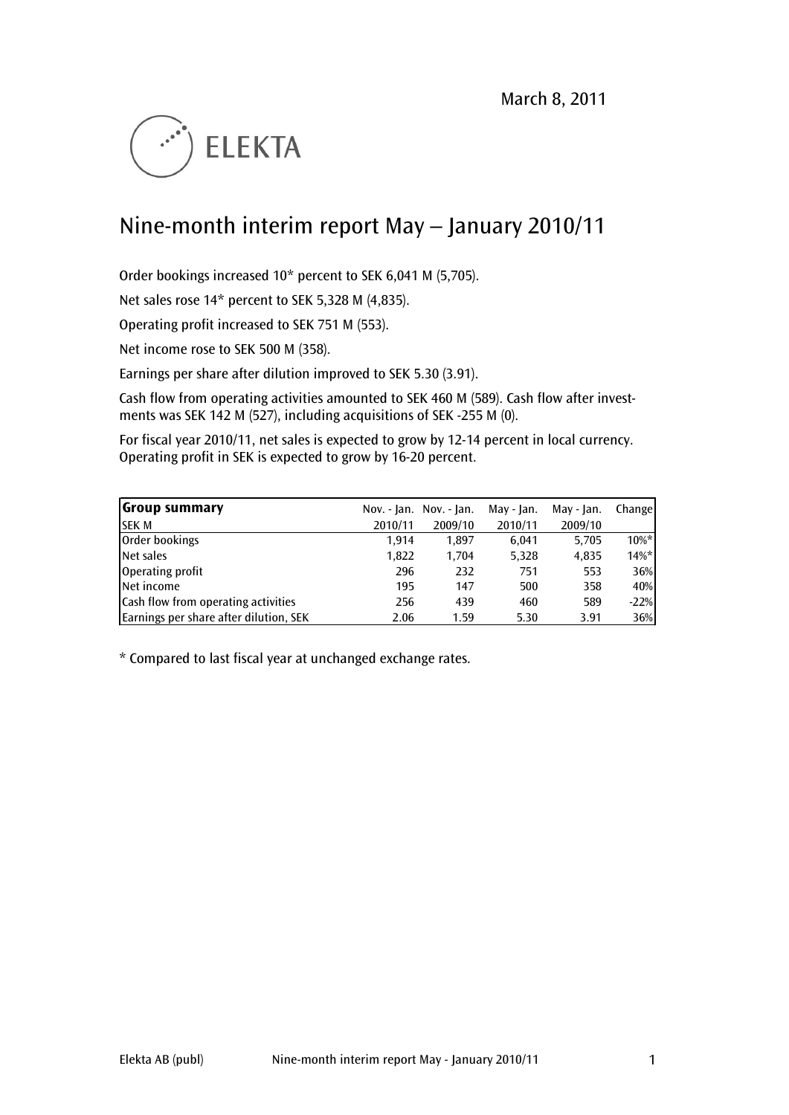

# Nine-month interim report May – January 2010/11

Order bookings increased 10\* percent to SEK 6,041 M (5,705).

Net sales rose 14\* percent to SEK 5,328 M (4,835).

Operating profit increased to SEK 751 M (553).

Net income rose to SEK 500 M (358).

Earnings per share after dilution improved to SEK 5.30 (3.91).

Cash flow from operating activities amounted to SEK 460 M (589). Cash flow after investments was SEK 142 M (527), including acquisitions of SEK -255 M (0).

For fiscal year 2010/11, net sales is expected to grow by 12-14 percent in local currency. Operating profit in SEK is expected to grow by 16-20 percent.

| Group summary                          |         | Nov. - Jan. Nov. - Jan. | May - Jan. | May - Jan. | Change   |
|----------------------------------------|---------|-------------------------|------------|------------|----------|
| <b>SEK M</b>                           | 2010/11 | 2009/10                 | 2010/11    | 2009/10    |          |
| Order bookings                         | 1.914   | 1.897                   | 6.041      | 5,705      | $10\%$ * |
| Net sales                              | 1,822   | 1.704                   | 5,328      | 4,835      | $14%$ *  |
| Operating profit                       | 296     | 232                     | 751        | 553        | 36%      |
| <b>Net income</b>                      | 195     | 147                     | 500        | 358        | 40%      |
| Cash flow from operating activities    | 256     | 439                     | 460        | 589        | $-22%$   |
| Earnings per share after dilution, SEK | 2.06    | 1.59                    | 5.30       | 3.91       | 36%      |

\* Compared to last fiscal year at unchanged exchange rates.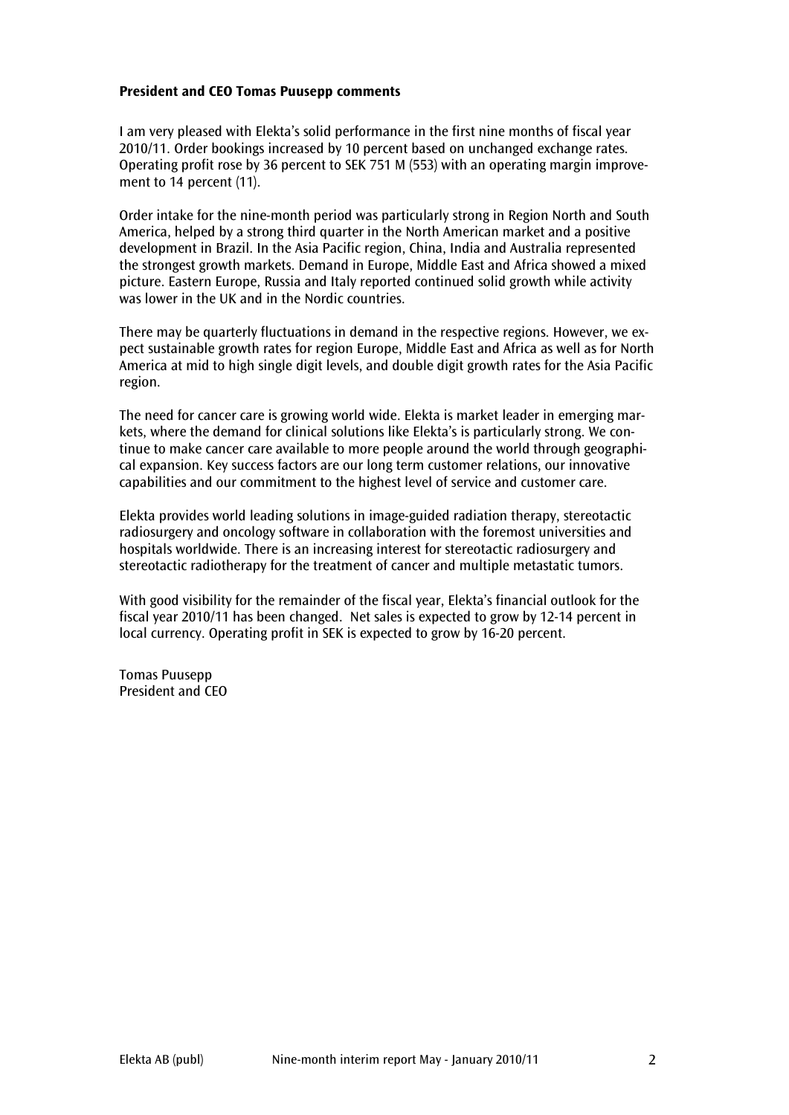#### President and CEO Tomas Puusepp comments

I am very pleased with Elekta's solid performance in the first nine months of fiscal year 2010/11. Order bookings increased by 10 percent based on unchanged exchange rates. Operating profit rose by 36 percent to SEK 751 M (553) with an operating margin improvement to 14 percent (11).

Order intake for the nine-month period was particularly strong in Region North and South America, helped by a strong third quarter in the North American market and a positive development in Brazil. In the Asia Pacific region, China, India and Australia represented the strongest growth markets. Demand in Europe, Middle East and Africa showed a mixed picture. Eastern Europe, Russia and Italy reported continued solid growth while activity was lower in the UK and in the Nordic countries.

There may be quarterly fluctuations in demand in the respective regions. However, we expect sustainable growth rates for region Europe, Middle East and Africa as well as for North America at mid to high single digit levels, and double digit growth rates for the Asia Pacific region.

The need for cancer care is growing world wide. Elekta is market leader in emerging markets, where the demand for clinical solutions like Elekta's is particularly strong. We continue to make cancer care available to more people around the world through geographical expansion. Key success factors are our long term customer relations, our innovative capabilities and our commitment to the highest level of service and customer care.

Elekta provides world leading solutions in image-guided radiation therapy, stereotactic radiosurgery and oncology software in collaboration with the foremost universities and hospitals worldwide. There is an increasing interest for stereotactic radiosurgery and stereotactic radiotherapy for the treatment of cancer and multiple metastatic tumors.

With good visibility for the remainder of the fiscal year, Elekta's financial outlook for the fiscal year 2010/11 has been changed. Net sales is expected to grow by 12-14 percent in local currency. Operating profit in SEK is expected to grow by 16-20 percent.

Tomas Puusepp President and CEO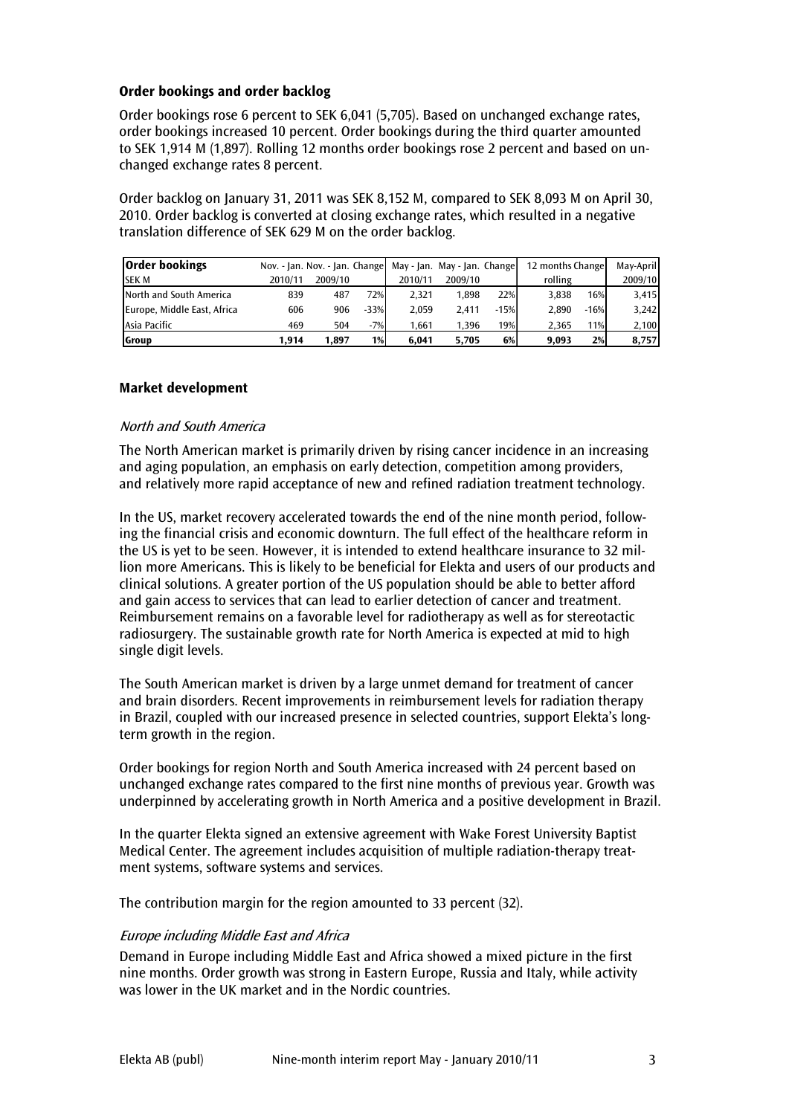## Order bookings and order backlog

Order bookings rose 6 percent to SEK 6,041 (5,705). Based on unchanged exchange rates, order bookings increased 10 percent. Order bookings during the third quarter amounted to SEK 1,914 M (1,897). Rolling 12 months order bookings rose 2 percent and based on unchanged exchange rates 8 percent.

Order backlog on January 31, 2011 was SEK 8,152 M, compared to SEK 8,093 M on April 30, 2010. Order backlog is converted at closing exchange rates, which resulted in a negative translation difference of SEK 629 M on the order backlog.

| <b>Order bookings</b>       |         |         |        | Nov. - Jan. Nov. - Jan. Change May - Jan. May - Jan. Change |         |        | 12 months Change |        | May-April |
|-----------------------------|---------|---------|--------|-------------------------------------------------------------|---------|--------|------------------|--------|-----------|
| <b>SEK M</b>                | 2010/11 | 2009/10 |        | 2010/11                                                     | 2009/10 |        | rolling          |        | 2009/10   |
| North and South America     | 839     | 487     | 72%    | 2.321                                                       | 1.898   | 22%    | 3.838            | 16%    | 3,415     |
| Europe, Middle East, Africa | 606     | 906     | $-33%$ | 2.059                                                       | 2.411   | $-15%$ | 2.890            | $-16%$ | 3,242     |
| Asia Pacific                | 469     | 504     | $-7%$  | 1.661                                                       | 1.396   | 19%    | 2.365            | 11%    | 2,100     |
| Group                       | 1.914   | 1.897   | 1%     | 6.041                                                       | 5.705   | 6%     | 9.093            | 2%     | 8,757     |

#### Market development

#### North and South America

The North American market is primarily driven by rising cancer incidence in an increasing and aging population, an emphasis on early detection, competition among providers, and relatively more rapid acceptance of new and refined radiation treatment technology.

In the US, market recovery accelerated towards the end of the nine month period, following the financial crisis and economic downturn. The full effect of the healthcare reform in the US is yet to be seen. However, it is intended to extend healthcare insurance to 32 million more Americans. This is likely to be beneficial for Elekta and users of our products and clinical solutions. A greater portion of the US population should be able to better afford and gain access to services that can lead to earlier detection of cancer and treatment. Reimbursement remains on a favorable level for radiotherapy as well as for stereotactic radiosurgery. The sustainable growth rate for North America is expected at mid to high single digit levels.

The South American market is driven by a large unmet demand for treatment of cancer and brain disorders. Recent improvements in reimbursement levels for radiation therapy in Brazil, coupled with our increased presence in selected countries, support Elekta's longterm growth in the region.

Order bookings for region North and South America increased with 24 percent based on unchanged exchange rates compared to the first nine months of previous year. Growth was underpinned by accelerating growth in North America and a positive development in Brazil.

In the quarter Elekta signed an extensive agreement with Wake Forest University Baptist Medical Center. The agreement includes acquisition of multiple radiation-therapy treatment systems, software systems and services.

The contribution margin for the region amounted to 33 percent (32).

## Europe including Middle East and Africa

Demand in Europe including Middle East and Africa showed a mixed picture in the first nine months. Order growth was strong in Eastern Europe, Russia and Italy, while activity was lower in the UK market and in the Nordic countries.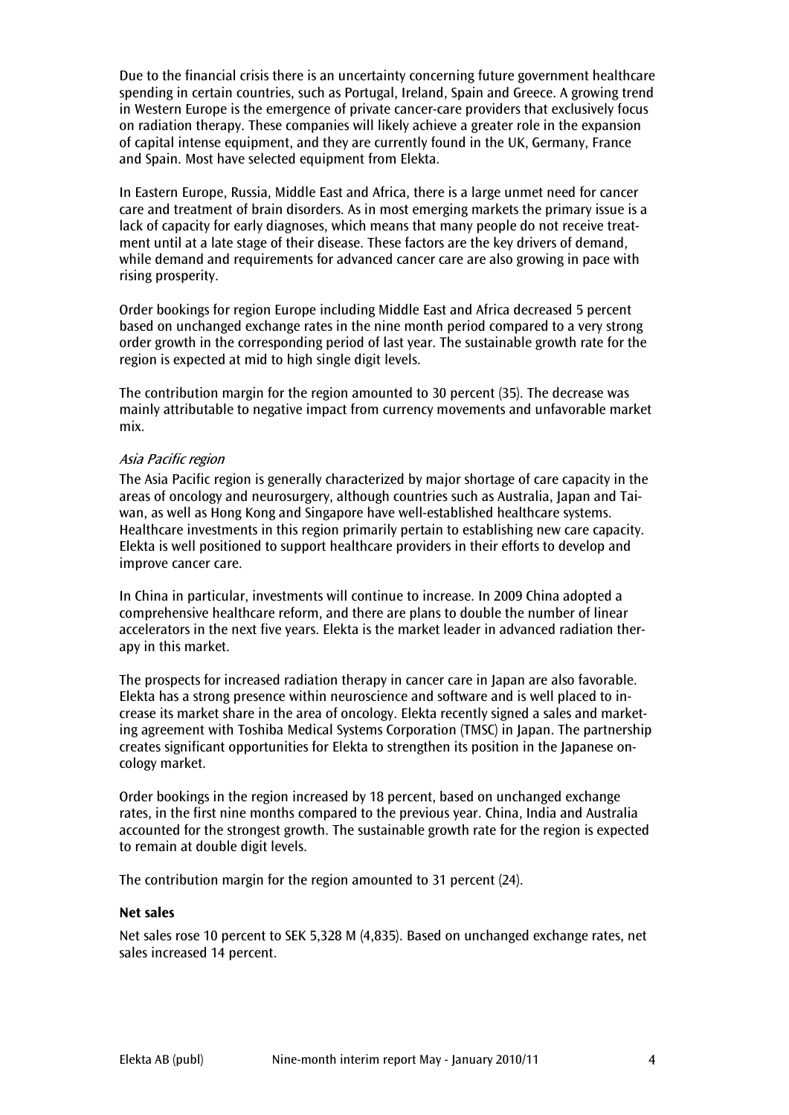Due to the financial crisis there is an uncertainty concerning future government healthcare spending in certain countries, such as Portugal, Ireland, Spain and Greece. A growing trend in Western Europe is the emergence of private cancer-care providers that exclusively focus on radiation therapy. These companies will likely achieve a greater role in the expansion of capital intense equipment, and they are currently found in the UK, Germany, France and Spain. Most have selected equipment from Elekta.

In Eastern Europe, Russia, Middle East and Africa, there is a large unmet need for cancer care and treatment of brain disorders. As in most emerging markets the primary issue is a lack of capacity for early diagnoses, which means that many people do not receive treatment until at a late stage of their disease. These factors are the key drivers of demand, while demand and requirements for advanced cancer care are also growing in pace with rising prosperity.

Order bookings for region Europe including Middle East and Africa decreased 5 percent based on unchanged exchange rates in the nine month period compared to a very strong order growth in the corresponding period of last year. The sustainable growth rate for the region is expected at mid to high single digit levels.

The contribution margin for the region amounted to 30 percent (35). The decrease was mainly attributable to negative impact from currency movements and unfavorable market mix.

#### Asia Pacific region

The Asia Pacific region is generally characterized by major shortage of care capacity in the areas of oncology and neurosurgery, although countries such as Australia, Japan and Taiwan, as well as Hong Kong and Singapore have well-established healthcare systems. Healthcare investments in this region primarily pertain to establishing new care capacity. Elekta is well positioned to support healthcare providers in their efforts to develop and improve cancer care.

In China in particular, investments will continue to increase. In 2009 China adopted a comprehensive healthcare reform, and there are plans to double the number of linear accelerators in the next five years. Elekta is the market leader in advanced radiation therapy in this market.

The prospects for increased radiation therapy in cancer care in Japan are also favorable. Elekta has a strong presence within neuroscience and software and is well placed to increase its market share in the area of oncology. Elekta recently signed a sales and marketing agreement with Toshiba Medical Systems Corporation (TMSC) in Japan. The partnership creates significant opportunities for Elekta to strengthen its position in the Japanese oncology market.

Order bookings in the region increased by 18 percent, based on unchanged exchange rates, in the first nine months compared to the previous year. China, India and Australia accounted for the strongest growth. The sustainable growth rate for the region is expected to remain at double digit levels.

The contribution margin for the region amounted to 31 percent (24).

#### Net sales

Net sales rose 10 percent to SEK 5,328 M (4,835). Based on unchanged exchange rates, net sales increased 14 percent.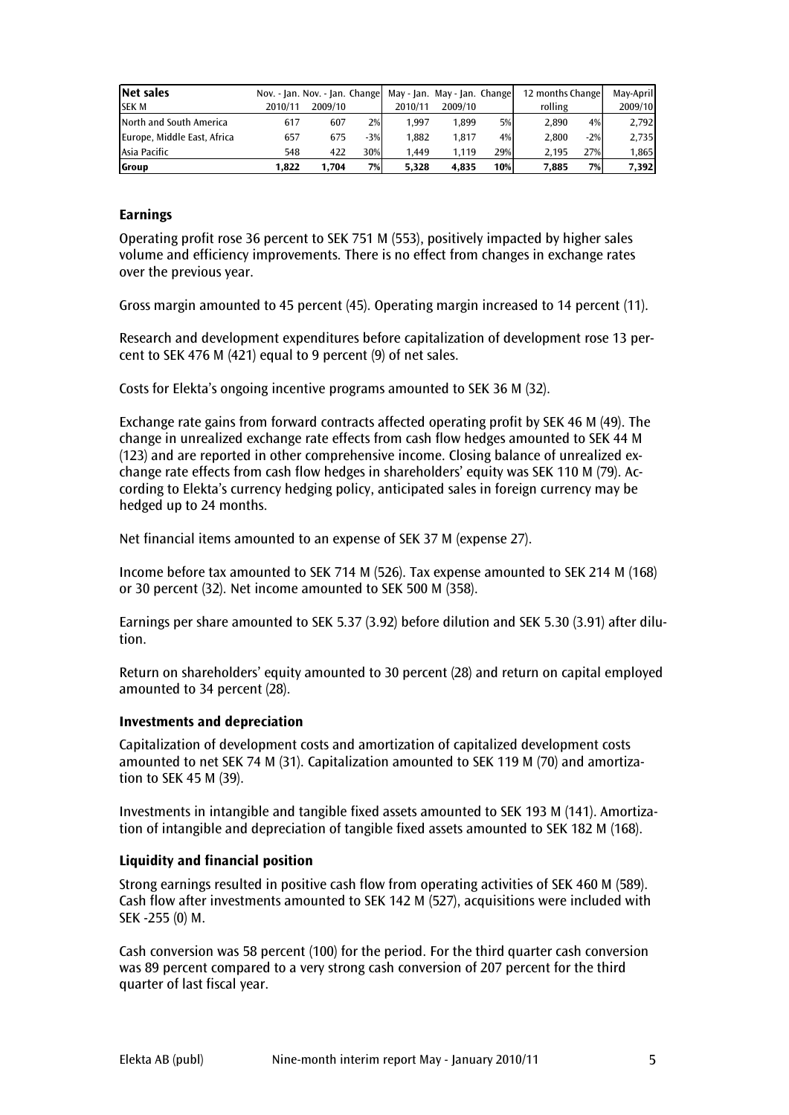| <b>Net sales</b>            | Nov. - Jan. Nov. - Jan. Change May - Jan. May - Jan. Change |         |       |         |         |     | 12 months Change |       | Mav-April |
|-----------------------------|-------------------------------------------------------------|---------|-------|---------|---------|-----|------------------|-------|-----------|
| <b>SEK M</b>                | 2010/11                                                     | 2009/10 |       | 2010/11 | 2009/10 |     | rolling          |       | 2009/10   |
| North and South America     | 617                                                         | 607     | 2%    | 1.997   | 1.899   | 5%  | 2.890            | 4%    | 2,792     |
| Europe, Middle East, Africa | 657                                                         | 675     | $-3%$ | 1.882   | 1.817   | 4%  | 2.800            | $-2%$ | 2,735     |
| Asia Pacific                | 548                                                         | 422     | 30%   | 1.449   | 1.119   | 29% | 2.195            | 27%   | 1,865     |
| Group                       | 1.822                                                       | 1.704   | 7%    | 5.328   | 4.835   | 10% | 7,885            | 7%    | 7,392     |

## Earnings

Operating profit rose 36 percent to SEK 751 M (553), positively impacted by higher sales volume and efficiency improvements. There is no effect from changes in exchange rates over the previous year.

Gross margin amounted to 45 percent (45). Operating margin increased to 14 percent (11).

Research and development expenditures before capitalization of development rose 13 percent to SEK 476 M (421) equal to 9 percent (9) of net sales.

Costs for Elekta's ongoing incentive programs amounted to SEK 36 M (32).

Exchange rate gains from forward contracts affected operating profit by SEK 46 M (49). The change in unrealized exchange rate effects from cash flow hedges amounted to SEK 44 M (123) and are reported in other comprehensive income. Closing balance of unrealized exchange rate effects from cash flow hedges in shareholders' equity was SEK 110 M (79). According to Elekta's currency hedging policy, anticipated sales in foreign currency may be hedged up to 24 months.

Net financial items amounted to an expense of SEK 37 M (expense 27).

Income before tax amounted to SEK 714 M (526). Tax expense amounted to SEK 214 M (168) or 30 percent (32). Net income amounted to SEK 500 M (358).

Earnings per share amounted to SEK 5.37 (3.92) before dilution and SEK 5.30 (3.91) after dilution.

Return on shareholders' equity amounted to 30 percent (28) and return on capital employed amounted to 34 percent (28).

#### Investments and depreciation

Capitalization of development costs and amortization of capitalized development costs amounted to net SEK 74 M (31). Capitalization amounted to SEK 119 M (70) and amortization to SEK 45 M (39).

Investments in intangible and tangible fixed assets amounted to SEK 193 M (141). Amortization of intangible and depreciation of tangible fixed assets amounted to SEK 182 M (168).

#### Liquidity and financial position

Strong earnings resulted in positive cash flow from operating activities of SEK 460 M (589). Cash flow after investments amounted to SEK 142 M (527), acquisitions were included with SEK -255 (0) M.

Cash conversion was 58 percent (100) for the period. For the third quarter cash conversion was 89 percent compared to a very strong cash conversion of 207 percent for the third quarter of last fiscal year.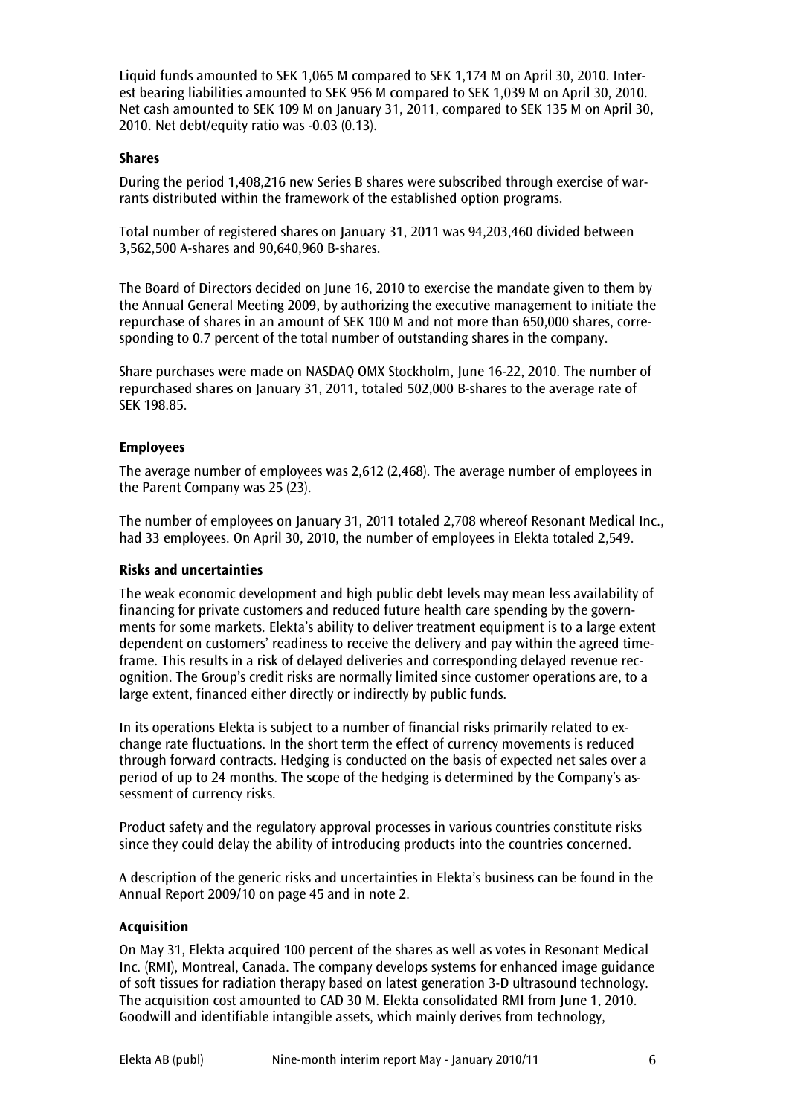Liquid funds amounted to SEK 1,065 M compared to SEK 1,174 M on April 30, 2010. Interest bearing liabilities amounted to SEK 956 M compared to SEK 1,039 M on April 30, 2010. Net cash amounted to SEK 109 M on January 31, 2011, compared to SEK 135 M on April 30, 2010. Net debt/equity ratio was -0.03 (0.13).

## Shares

During the period 1,408,216 new Series B shares were subscribed through exercise of warrants distributed within the framework of the established option programs.

Total number of registered shares on January 31, 2011 was 94,203,460 divided between 3,562,500 A-shares and 90,640,960 B-shares.

The Board of Directors decided on June 16, 2010 to exercise the mandate given to them by the Annual General Meeting 2009, by authorizing the executive management to initiate the repurchase of shares in an amount of SEK 100 M and not more than 650,000 shares, corresponding to 0.7 percent of the total number of outstanding shares in the company.

Share purchases were made on NASDAQ OMX Stockholm, June 16-22, 2010. The number of repurchased shares on January 31, 2011, totaled 502,000 B-shares to the average rate of SEK 198.85.

## Employees

The average number of employees was 2,612 (2,468). The average number of employees in the Parent Company was 25 (23).

The number of employees on January 31, 2011 totaled 2,708 whereof Resonant Medical Inc., had 33 employees. On April 30, 2010, the number of employees in Elekta totaled 2,549.

#### Risks and uncertainties

The weak economic development and high public debt levels may mean less availability of financing for private customers and reduced future health care spending by the governments for some markets. Elekta's ability to deliver treatment equipment is to a large extent dependent on customers' readiness to receive the delivery and pay within the agreed timeframe. This results in a risk of delayed deliveries and corresponding delayed revenue recognition. The Group's credit risks are normally limited since customer operations are, to a large extent, financed either directly or indirectly by public funds.

In its operations Elekta is subject to a number of financial risks primarily related to exchange rate fluctuations. In the short term the effect of currency movements is reduced through forward contracts. Hedging is conducted on the basis of expected net sales over a period of up to 24 months. The scope of the hedging is determined by the Company's assessment of currency risks.

Product safety and the regulatory approval processes in various countries constitute risks since they could delay the ability of introducing products into the countries concerned.

A description of the generic risks and uncertainties in Elekta's business can be found in the Annual Report 2009/10 on page 45 and in note 2.

#### Acquisition

On May 31, Elekta acquired 100 percent of the shares as well as votes in Resonant Medical Inc. (RMI), Montreal, Canada. The company develops systems for enhanced image guidance of soft tissues for radiation therapy based on latest generation 3-D ultrasound technology. The acquisition cost amounted to CAD 30 M. Elekta consolidated RMI from June 1, 2010. Goodwill and identifiable intangible assets, which mainly derives from technology,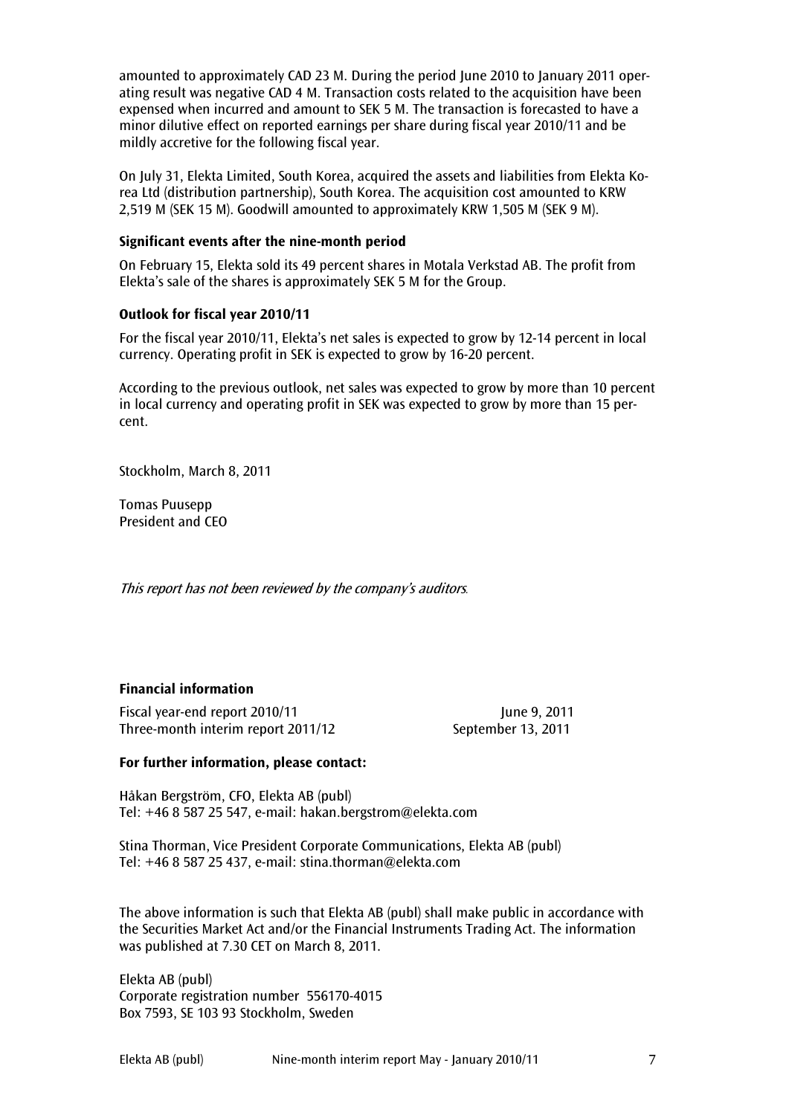amounted to approximately CAD 23 M. During the period June 2010 to January 2011 operating result was negative CAD 4 M. Transaction costs related to the acquisition have been expensed when incurred and amount to SEK 5 M. The transaction is forecasted to have a minor dilutive effect on reported earnings per share during fiscal year 2010/11 and be mildly accretive for the following fiscal year.

On July 31, Elekta Limited, South Korea, acquired the assets and liabilities from Elekta Korea Ltd (distribution partnership), South Korea. The acquisition cost amounted to KRW 2,519 M (SEK 15 M). Goodwill amounted to approximately KRW 1,505 M (SEK 9 M).

#### Significant events after the nine-month period

On February 15, Elekta sold its 49 percent shares in Motala Verkstad AB. The profit from Elekta's sale of the shares is approximately SEK 5 M for the Group.

## Outlook for fiscal year 2010/11

For the fiscal year 2010/11, Elekta's net sales is expected to grow by 12-14 percent in local currency. Operating profit in SEK is expected to grow by 16-20 percent.

According to the previous outlook, net sales was expected to grow by more than 10 percent in local currency and operating profit in SEK was expected to grow by more than 15 percent.

Stockholm, March 8, 2011

Tomas Puusepp President and CEO

This report has not been reviewed by the company's auditors.

# Financial information

Fiscal year-end report 2010/11 June 9, 2011 Three-month interim report 2011/12 September 13, 2011

# For further information, please contact:

Håkan Bergström, CFO, Elekta AB (publ) Tel: +46 8 587 25 547, e-mail: hakan.bergstrom@elekta.com

Stina Thorman, Vice President Corporate Communications, Elekta AB (publ) Tel: +46 8 587 25 437, e-mail: stina.thorman@elekta.com

The above information is such that Elekta AB (publ) shall make public in accordance with the Securities Market Act and/or the Financial Instruments Trading Act. The information was published at 7.30 CET on March 8, 2011.

Elekta AB (publ) Corporate registration number 556170-4015 Box 7593, SE 103 93 Stockholm, Sweden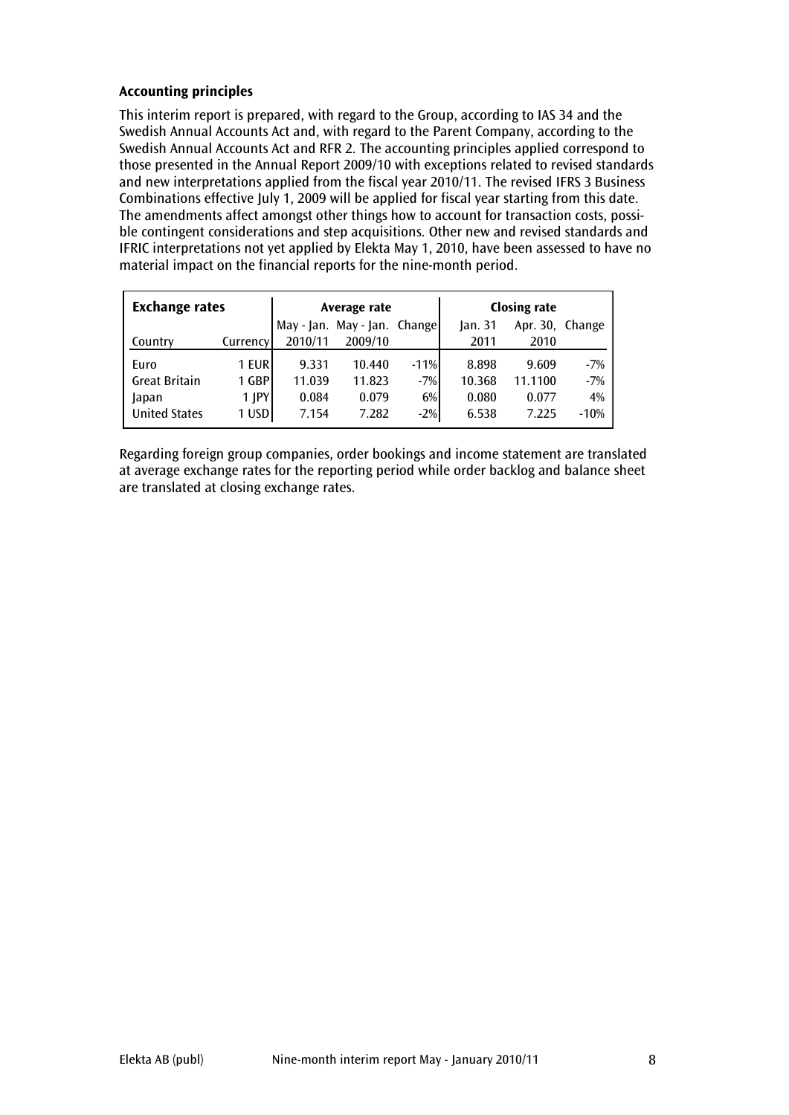# Accounting principles

This interim report is prepared, with regard to the Group, according to IAS 34 and the Swedish Annual Accounts Act and, with regard to the Parent Company, according to the Swedish Annual Accounts Act and RFR 2. The accounting principles applied correspond to those presented in the Annual Report 2009/10 with exceptions related to revised standards and new interpretations applied from the fiscal year 2010/11. The revised IFRS 3 Business Combinations effective July 1, 2009 will be applied for fiscal year starting from this date. The amendments affect amongst other things how to account for transaction costs, possible contingent considerations and step acquisitions. Other new and revised standards and IFRIC interpretations not yet applied by Elekta May 1, 2010, have been assessed to have no material impact on the financial reports for the nine-month period.

| <b>Exchange rates</b> |            |            | Average rate      |        | <b>Closing rate</b> |          |        |  |
|-----------------------|------------|------------|-------------------|--------|---------------------|----------|--------|--|
|                       |            | May - Jan. | May - Jan. Change |        | $\lambda$ an. 31    | Apr. 30, | Change |  |
| Country               | Currency   | 2010/11    | 2009/10           |        | 2011                | 2010     |        |  |
| Euro                  | 1 EUR      | 9.331      | 10.440            | $-11%$ | 8.898               | 9.609    | $-7%$  |  |
| <b>Great Britain</b>  | 1 GBP      | 11.039     | 11.823            | $-7%$  | 10.368              | 11.1100  | $-7%$  |  |
| Japan                 | $1$ $ PY $ | 0.084      | 0.079             | 6%     | 0.080               | 0.077    | 4%     |  |
| <b>United States</b>  | 1 USD      | 7.154      | 7.282             | $-2%$  | 6.538               | 7.225    | $-10%$ |  |

Regarding foreign group companies, order bookings and income statement are translated at average exchange rates for the reporting period while order backlog and balance sheet are translated at closing exchange rates.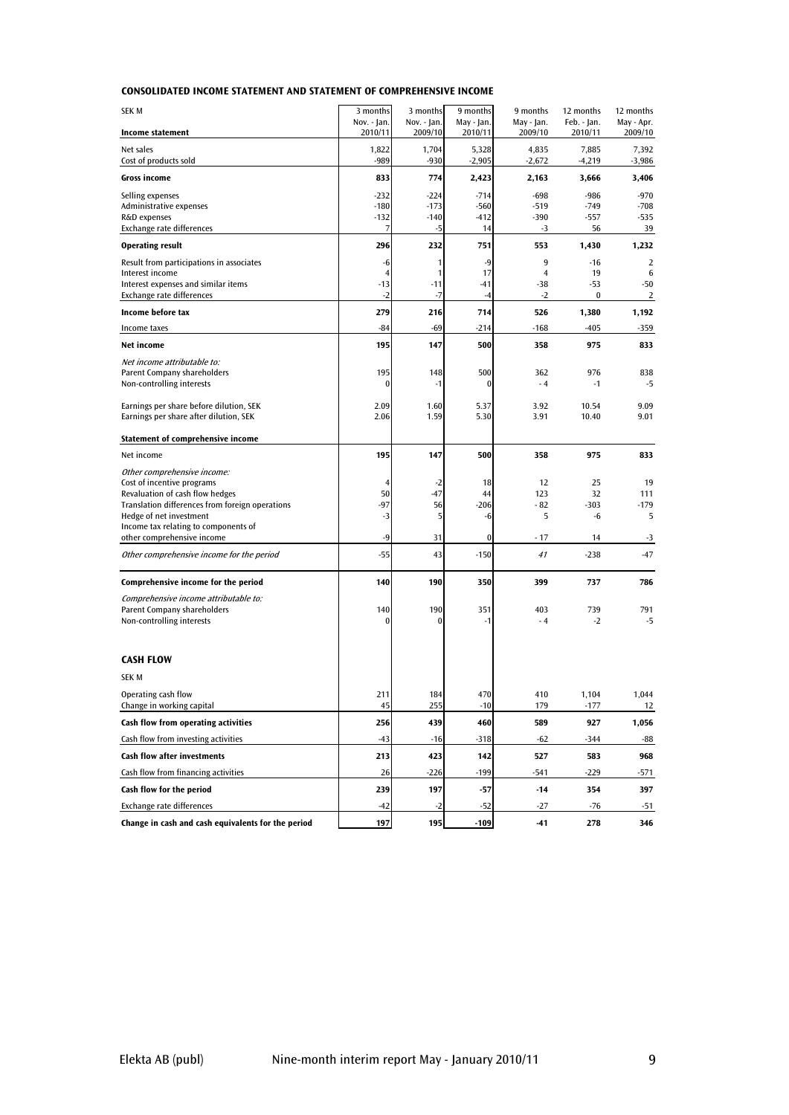|  | <b>CONSOLIDATED INCOME STATEMENT AND STATEMENT OF COMPREHENSIVE INCOME</b> |
|--|----------------------------------------------------------------------------|
|--|----------------------------------------------------------------------------|

| SEK M                                                                              | 3 months                | 3 months         | 9 months          | 9 months                | 12 months         | 12 months         |
|------------------------------------------------------------------------------------|-------------------------|------------------|-------------------|-------------------------|-------------------|-------------------|
|                                                                                    | Nov. - Jan.             | Nov. - Jan.      | May - Jan.        | May - Jan.              | Feb. - Jan.       | May - Apr.        |
| <b>Income statement</b>                                                            | 2010/11                 | 2009/10          | 2010/11           | 2009/10                 | 2010/11           | 2009/10           |
| Net sales<br>Cost of products sold                                                 | 1,822<br>-989           | 1,704<br>$-930$  | 5,328<br>$-2,905$ | 4,835<br>$-2,672$       | 7,885<br>$-4,219$ | 7,392<br>$-3,986$ |
| <b>Gross income</b>                                                                | 833                     | 774              | 2,423             | 2,163                   | 3,666             | 3,406             |
| Selling expenses                                                                   | $-232$                  | $-224$           | $-714$            | -698                    | -986              | $-970$            |
| Administrative expenses<br>R&D expenses                                            | $-180$<br>$-132$        | $-173$<br>$-140$ | $-560$<br>$-412$  | $-519$<br>$-390$        | $-749$<br>$-557$  | $-708$<br>$-535$  |
| Exchange rate differences                                                          | 7                       | $-5$             | 14                | $-3$                    | 56                | 39                |
| <b>Operating result</b>                                                            | 296                     | 232              | 751               | 553                     | 1,430             | 1,232             |
| Result from participations in associates                                           | -6                      | 1                | $-9$              | 9                       | $-16$             | $\overline{2}$    |
| Interest income<br>Interest expenses and similar items                             | $\overline{4}$<br>$-13$ | 1<br>$-11$       | 17<br>$-41$       | $\overline{4}$<br>$-38$ | 19<br>$-53$       | 6<br>$-50$        |
| Exchange rate differences                                                          | $-2$                    | $-7$             | $-4$              | $-2$                    | $\bf{0}$          | 2                 |
| Income before tax                                                                  | 279                     | 216              | 714               | 526                     | 1,380             | 1,192             |
| Income taxes                                                                       | $-84$                   | $-69$            | $-214$            | -168                    | $-405$            | -359              |
| Net income                                                                         | 195                     | 147              | 500               | 358                     | 975               | 833               |
| Net income attributable to:                                                        |                         |                  |                   |                         |                   |                   |
| Parent Company shareholders                                                        | 195                     | 148              | 500               | 362                     | 976               | 838               |
| Non-controlling interests                                                          | $\bf{0}$                | $-1$             | $\bf{0}$          | $-4$                    | $-1$              | -5                |
| Earnings per share before dilution, SEK                                            | 2.09                    | 1.60             | 5.37              | 3.92                    | 10.54             | 9.09              |
| Earnings per share after dilution, SEK                                             | 2.06                    | 1.59             | 5.30              | 3.91                    | 10.40             | 9.01              |
| Statement of comprehensive income                                                  |                         |                  |                   |                         |                   |                   |
| Net income                                                                         | 195                     | 147              | 500               | 358                     | 975               | 833               |
| Other comprehensive income:                                                        |                         |                  |                   |                         |                   |                   |
| Cost of incentive programs                                                         | 4                       | $-2$             | 18                | 12                      | 25                | 19                |
| Revaluation of cash flow hedges<br>Translation differences from foreign operations | 50<br>-97               | $-47$<br>56      | 44<br>$-206$      | 123<br>- 82             | 32<br>$-303$      | 111<br>$-179$     |
| Hedge of net investment                                                            | $-3$                    | 5                | -6                | 5                       | -6                | 5                 |
| Income tax relating to components of                                               |                         |                  |                   |                         |                   |                   |
| other comprehensive income                                                         | $-9$                    | 31               | $\bf{0}$          | - 17                    | 14                | $-3$              |
| Other comprehensive income for the period                                          | $-55$                   | 43               | $-150$            | 41                      | $-238$            | -47               |
| Comprehensive income for the period                                                | 140                     | 190              | 350               | 399                     | 737               | 786               |
| Comprehensive income attributable to:<br>Parent Company shareholders               | 140                     | 190              | 351               | 403                     | 739               | 791               |
| Non-controlling interests                                                          | $\bf{0}$                | 0                | $-1$              | $-4$                    | $-2$              | $-5$              |
|                                                                                    |                         |                  |                   |                         |                   |                   |
| <b>CASH FLOW</b>                                                                   |                         |                  |                   |                         |                   |                   |
| SEK M                                                                              |                         |                  |                   |                         |                   |                   |
| Operating cash flow<br>Change in working capital                                   | <b>Z11</b><br>45        | 184<br>255       | 4/0<br>$-10$      | 410<br>179              | 1,104<br>-177     | 1,044<br>12       |
| Cash flow from operating activities                                                | 256                     | 439              | 460               | 589                     | 927               | 1,056             |
| Cash flow from investing activities                                                | $-43$                   | $-16$            | $-318$            | $-62$                   | $-344$            | -88               |
| Cash flow after investments                                                        | 213                     | 423              | 142               | 527                     | 583               | 968               |
| Cash flow from financing activities                                                | 26                      | $-226$           | $-199$            | -541                    | $-229$            | -571              |
| Cash flow for the period                                                           | 239                     | 197              | $-57$             | $-14$                   | 354               | 397               |
| <b>Exchange rate differences</b>                                                   | $-42$                   | $-2$             | -52               | $-27$                   | $-76$             | $-51$             |
| Change in cash and cash equivalents for the period                                 | 197                     | 195              | $-109$            | $-41$                   | 278               | 346               |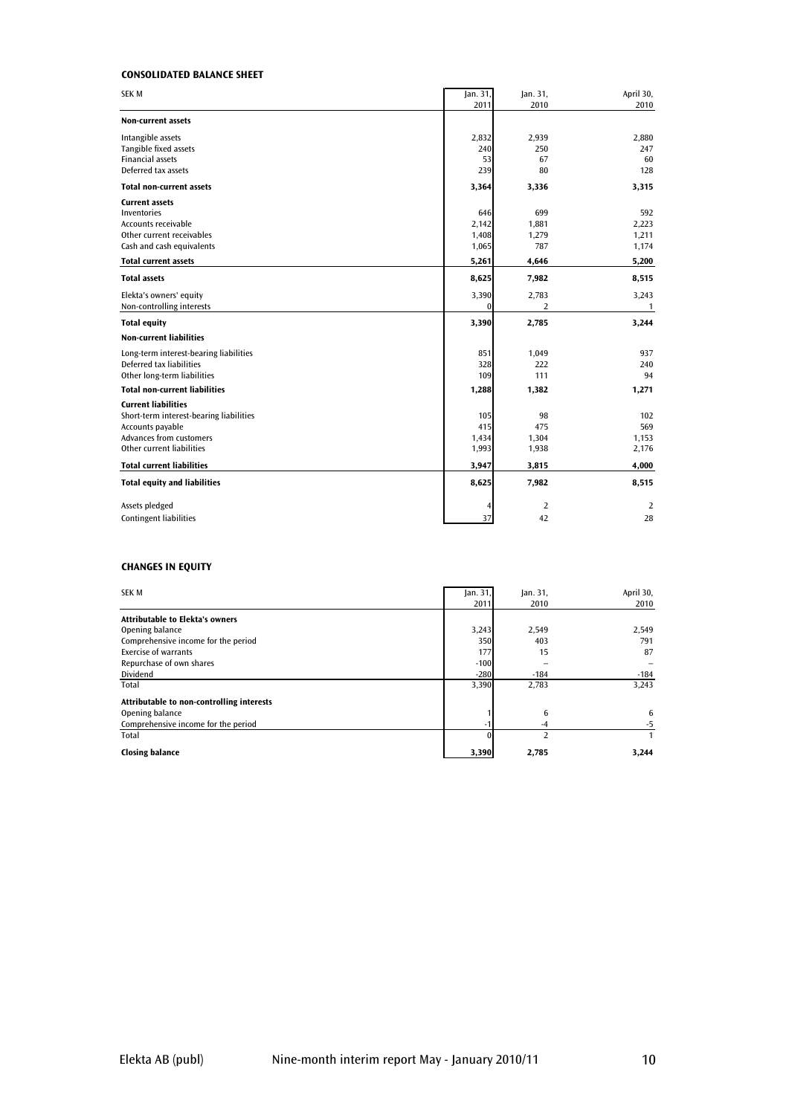#### CONSOLIDATED BALANCE SHEET

| SEK M                                                                                                                                                    | Jan. 31,<br>2011               | Jan. 31,<br>2010             | April 30,<br>2010              |
|----------------------------------------------------------------------------------------------------------------------------------------------------------|--------------------------------|------------------------------|--------------------------------|
| <b>Non-current assets</b>                                                                                                                                |                                |                              |                                |
| Intangible assets<br>Tangible fixed assets<br><b>Financial assets</b><br>Deferred tax assets                                                             | 2,832<br>240<br>53<br>239      | 2,939<br>250<br>67<br>80     | 2,880<br>247<br>60<br>128      |
| <b>Total non-current assets</b>                                                                                                                          | 3,364                          | 3,336                        | 3,315                          |
| <b>Current assets</b><br>Inventories<br><b>Accounts receivable</b><br>Other current receivables<br>Cash and cash equivalents                             | 646<br>2,142<br>1,408<br>1,065 | 699<br>1,881<br>1,279<br>787 | 592<br>2,223<br>1,211<br>1,174 |
| <b>Total current assets</b>                                                                                                                              | 5,261                          | 4,646                        | 5,200                          |
| <b>Total assets</b>                                                                                                                                      | 8,625                          | 7,982                        | 8,515                          |
| Elekta's owners' equity<br>Non-controlling interests                                                                                                     | 3,390<br>$\mathbf{0}$          | 2,783<br>2                   | 3,243<br>$\mathbf{1}$          |
| <b>Total equity</b>                                                                                                                                      | 3,390                          | 2,785                        | 3,244                          |
| <b>Non-current liabilities</b>                                                                                                                           |                                |                              |                                |
| Long-term interest-bearing liabilities<br>Deferred tax liabilities<br>Other long-term liabilities                                                        | 851<br>328<br>109              | 1,049<br>222<br>111          | 937<br>240<br>94               |
| <b>Total non-current liabilities</b>                                                                                                                     | 1,288                          | 1,382                        | 1,271                          |
| <b>Current liabilities</b><br>Short-term interest-bearing liabilities<br>Accounts payable<br><b>Advances from customers</b><br>Other current liabilities | 105<br>415<br>1,434<br>1,993   | 98<br>475<br>1,304<br>1,938  | 102<br>569<br>1,153<br>2,176   |
| <b>Total current liabilities</b>                                                                                                                         | 3,947                          | 3,815                        | 4,000                          |
| <b>Total equity and liabilities</b>                                                                                                                      | 8,625                          | 7,982                        | 8,515                          |
| Assets pledged<br><b>Contingent liabilities</b>                                                                                                          | 37                             | $\overline{2}$<br>42         | 2<br>28                        |

#### CHANGES IN EQUITY

| <b>SEK M</b>                              | an.31  | jan.31, | April 30, |
|-------------------------------------------|--------|---------|-----------|
|                                           | 2011   | 2010    | 2010      |
| <b>Attributable to Elekta's owners</b>    |        |         |           |
| Opening balance                           | 3,243  | 2,549   | 2,549     |
| Comprehensive income for the period       | 350    | 403     | 791       |
| Exercise of warrants                      | 177    | 15      | 87        |
| Repurchase of own shares                  | $-100$ |         |           |
| Dividend                                  | $-280$ | $-184$  | $-184$    |
| Total                                     | 3,390  | 2,783   | 3.243     |
| Attributable to non-controlling interests |        |         |           |
| Opening balance                           |        | 6       | 6         |
| Comprehensive income for the period       |        | -4      | -5        |
| Total                                     |        | 2       |           |
| <b>Closing balance</b>                    | 3,390  | 2,785   | 3,244     |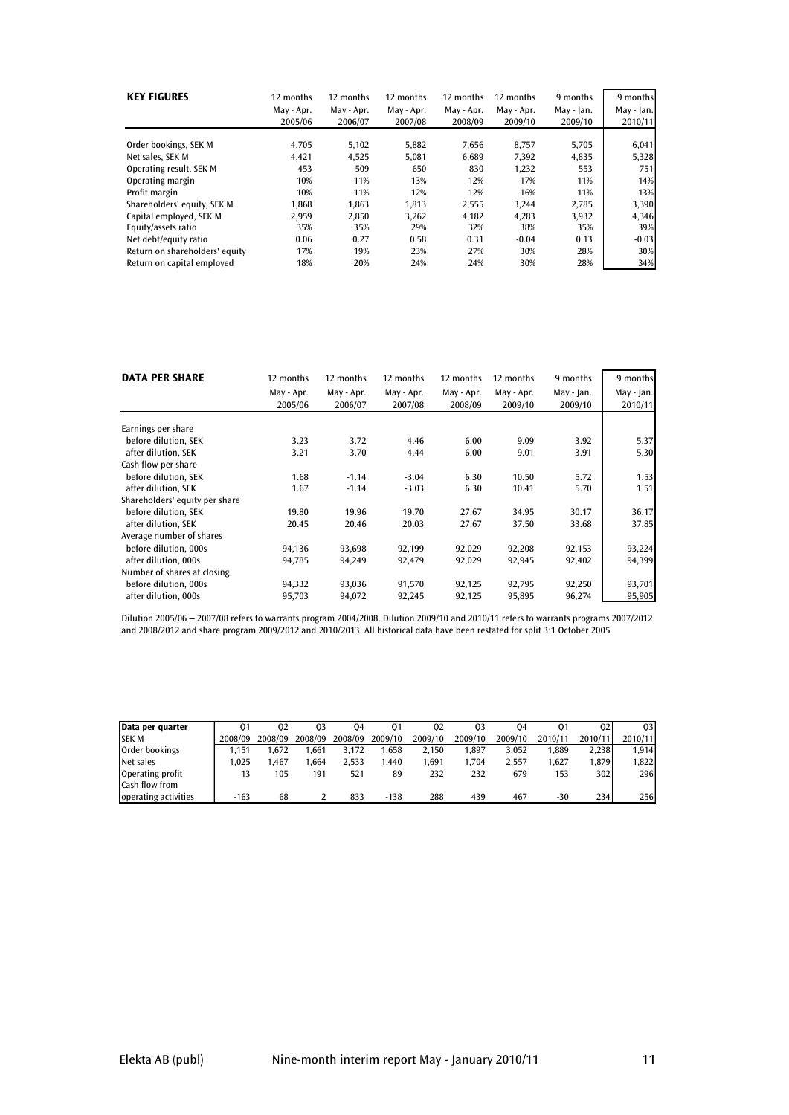| <b>KEY FIGURES</b>             | 12 months<br>May - Apr.<br>2005/06 | 12 months<br>May - Apr.<br>2006/07 | 12 months<br>May - Apr.<br>2007/08 | 12 months<br>May - Apr.<br>2008/09 | 12 months<br>May - Apr.<br>2009/10 | 9 months<br>May - Jan.<br>2009/10 | 9 months<br>May - Jan.<br>2010/11 |
|--------------------------------|------------------------------------|------------------------------------|------------------------------------|------------------------------------|------------------------------------|-----------------------------------|-----------------------------------|
| Order bookings, SEK M          | 4,705                              | 5,102                              | 5,882                              | 7,656                              | 8,757                              | 5.705                             | 6,041                             |
| Net sales. SEK M               | 4.421                              | 4,525                              | 5.081                              | 6.689                              | 7.392                              | 4,835                             | 5,328                             |
| Operating result, SEK M        | 453                                | 509                                | 650                                | 830                                | 1,232                              | 553                               | 751                               |
| Operating margin               | 10%                                | 11%                                | 13%                                | 12%                                | 17%                                | 11%                               | 14%                               |
| Profit margin                  | 10%                                | 11%                                | 12%                                | 12%                                | 16%                                | 11%                               | 13%                               |
| Shareholders' equity, SEK M    | 1.868                              | 1.863                              | 1.813                              | 2,555                              | 3.244                              | 2.785                             | 3,390                             |
| Capital employed, SEK M        | 2,959                              | 2,850                              | 3,262                              | 4.182                              | 4.283                              | 3,932                             | 4,346                             |
| Equity/assets ratio            | 35%                                | 35%                                | 29%                                | 32%                                | 38%                                | 35%                               | 39%                               |
| Net debt/equity ratio          | 0.06                               | 0.27                               | 0.58                               | 0.31                               | $-0.04$                            | 0.13                              | $-0.03$                           |
| Return on shareholders' equity | 17%                                | 19%                                | 23%                                | 27%                                | 30%                                | 28%                               | 30%                               |
| Return on capital emploved     | 18%                                | 20%                                | 24%                                | 24%                                | 30%                                | 28%                               | 34%                               |

| <b>DATA PER SHARE</b>          | 12 months             | 12 months             | 12 months             | 12 months             | 12 months             | 9 months              | 9 months              |
|--------------------------------|-----------------------|-----------------------|-----------------------|-----------------------|-----------------------|-----------------------|-----------------------|
|                                | May - Apr.<br>2005/06 | May - Apr.<br>2006/07 | May - Apr.<br>2007/08 | May - Apr.<br>2008/09 | May - Apr.<br>2009/10 | May - Jan.<br>2009/10 | May - Jan.<br>2010/11 |
|                                |                       |                       |                       |                       |                       |                       |                       |
| Earnings per share             |                       |                       |                       |                       |                       |                       |                       |
| before dilution, SEK           | 3.23                  | 3.72                  | 4.46                  | 6.00                  | 9.09                  | 3.92                  | 5.37                  |
| after dilution. SEK            | 3.21                  | 3.70                  | 4.44                  | 6.00                  | 9.01                  | 3.91                  | 5.30                  |
| Cash flow per share            |                       |                       |                       |                       |                       |                       |                       |
| before dilution, SEK           | 1.68                  | $-1.14$               | $-3.04$               | 6.30                  | 10.50                 | 5.72                  | 1.53                  |
| after dilution, SEK            | 1.67                  | $-1.14$               | $-3.03$               | 6.30                  | 10.41                 | 5.70                  | 1.51                  |
| Shareholders' equity per share |                       |                       |                       |                       |                       |                       |                       |
| before dilution. SEK           | 19.80                 | 19.96                 | 19.70                 | 27.67                 | 34.95                 | 30.17                 | 36.17                 |
| after dilution. SEK            | 20.45                 | 20.46                 | 20.03                 | 27.67                 | 37.50                 | 33.68                 | 37.85                 |
| Average number of shares       |                       |                       |                       |                       |                       |                       |                       |
| before dilution, 000s          | 94,136                | 93,698                | 92,199                | 92,029                | 92,208                | 92,153                | 93,224                |
| after dilution, 000s           | 94,785                | 94,249                | 92,479                | 92,029                | 92,945                | 92,402                | 94,399                |
| Number of shares at closing    |                       |                       |                       |                       |                       |                       |                       |
| before dilution, 000s          | 94,332                | 93,036                | 91,570                | 92,125                | 92,795                | 92,250                | 93,701                |
| after dilution, 000s           | 95,703                | 94,072                | 92,245                | 92,125                | 95,895                | 96,274                | 95,905                |

Dilution 2005/06 – 2007/08 refers to warrants program 2004/2008. Dilution 2009/10 and 2010/11 refers to warrants programs 2007/2012 and 2008/2012 and share program 2009/2012 and 2010/2013. All historical data have been restated for split 3:1 October 2005.

| Data per quarter     | $^{01}$ | 02      | 03      | 04      | 01      | 02      | 03      | 04      | 01      | 02      | 03      |
|----------------------|---------|---------|---------|---------|---------|---------|---------|---------|---------|---------|---------|
| <b>SEK M</b>         | 2008/09 | 2008/09 | 2008/09 | 2008/09 | 2009/10 | 2009/10 | 2009/10 | 2009/10 | 2010/11 | 2010/11 | 2010/11 |
| Order bookings       | .151    | 1.672   | .661    | 3.172   | 1.658   | 2.150   | .897    | 3.052   | 1.889   | 2.238   | 1.914   |
| Net sales            | .025    | .467    | .664    | 2.533   | 1.440   | 1.691   | .704    | 2.557   | 1.627   | 1.879   | 1.822   |
| Operating profit     |         | 105     | 191     | 521     | 89      | 232     | 232     | 679     | 153     | 302     | 296     |
| Cash flow from       |         |         |         |         |         |         |         |         |         |         |         |
| operating activities | $-163$  | 68      |         | 833     | $-138$  | 288     | 439     | 467     | $-30$   | 234     | 256     |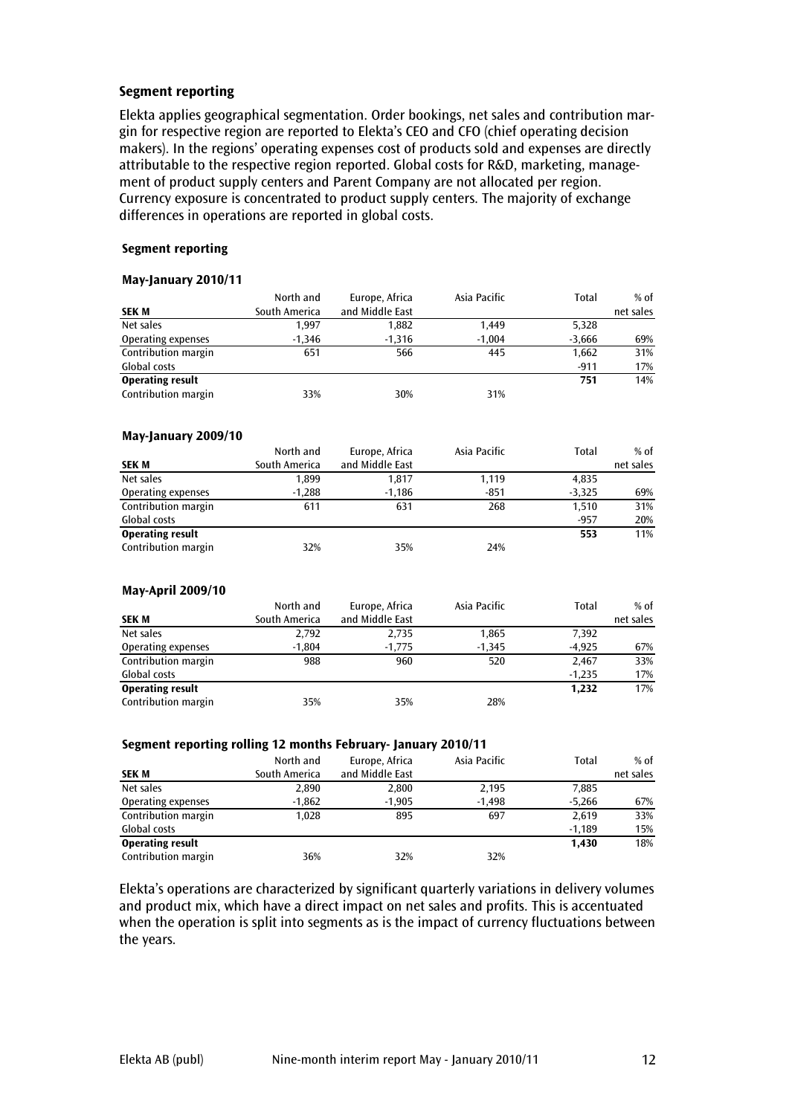#### Segment reporting

Elekta applies geographical segmentation. Order bookings, net sales and contribution margin for respective region are reported to Elekta's CEO and CFO (chief operating decision makers). In the regions' operating expenses cost of products sold and expenses are directly attributable to the respective region reported. Global costs for R&D, marketing, management of product supply centers and Parent Company are not allocated per region. Currency exposure is concentrated to product supply centers. The majority of exchange differences in operations are reported in global costs.

#### Segment reporting

#### May-January 2010/11

|                         | North and     | Europe, Africa  | Asia Pacific | Total    | $%$ of    |
|-------------------------|---------------|-----------------|--------------|----------|-----------|
| <b>SEK M</b>            | South America | and Middle East |              |          | net sales |
| Net sales               | 1,997         | 1,882           | 1,449        | 5,328    |           |
| Operating expenses      | $-1,346$      | $-1,316$        | $-1,004$     | $-3,666$ | 69%       |
| Contribution margin     | 651           | 566             | 445          | 1,662    | 31%       |
| <b>Global costs</b>     |               |                 |              | $-911$   | 17%       |
| <b>Operating result</b> |               |                 |              | 751      | 14%       |
| Contribution margin     | 33%           | 30%             | 31%          |          |           |
| May-January 2009/10     |               |                 |              |          |           |
|                         | North and     | Europe, Africa  | Asia Pacific | Total    | $%$ of    |
| <b>SEK M</b>            | South America | and Middle East |              |          | net sales |
| Net sales               | 1.899         | 1,817           | 1,119        | 4,835    |           |
| Operating expenses      | $-1,288$      | $-1,186$        | $-851$       | $-3,325$ | 69%       |
| Contribution margin     | 611           | 631             | 268          | 1,510    | 31%       |
| Global costs            |               |                 |              | $-957$   | 20%       |
| <b>Operating result</b> |               |                 |              | 553      | 11%       |
| Contribution margin     | 32%           | 35%             | 24%          |          |           |
| May-April 2009/10       |               |                 |              |          |           |
|                         | North and     | Europe, Africa  | Asia Pacific | Total    | $%$ of    |
| <b>SEK M</b>            | South America | and Middle East |              |          | net sales |
| Net sales               | 2.792         | 2,735           | 1,865        | 7.392    |           |
| Operating expenses      | $-1,804$      | $-1,775$        | $-1,345$     | $-4,925$ | 67%       |
| Contribution margin     | 988           | 960             | 520          | 2,467    | 33%       |
| <b>Global costs</b>     |               |                 |              | $-1,235$ | 17%       |
| <b>Operating result</b> |               |                 |              | 1,232    | 17%       |
| Contribution margin     | 35%           | 35%             | 28%          |          |           |

#### Segment reporting rolling 12 months February- January 2010/11

| <b>SEK M</b>            | . .<br>North and<br>South America | Europe, Africa<br>and Middle East | Asia Pacific | Total    | $%$ of<br>net sales |
|-------------------------|-----------------------------------|-----------------------------------|--------------|----------|---------------------|
| Net sales               | 2,890                             | 2,800                             | 2,195        | 7.885    |                     |
| Operating expenses      | -1,862                            | $-1,905$                          | $-1,498$     | $-5.266$ | 67%                 |
| Contribution margin     | 1.028                             | 895                               | 697          | 2.619    | 33%                 |
| Global costs            |                                   |                                   |              | $-1.189$ | 15%                 |
| <b>Operating result</b> |                                   |                                   |              | 1.430    | 18%                 |
| Contribution margin     | 36%                               | 32%                               | 32%          |          |                     |

Elekta's operations are characterized by significant quarterly variations in delivery volumes and product mix, which have a direct impact on net sales and profits. This is accentuated when the operation is split into segments as is the impact of currency fluctuations between the years.